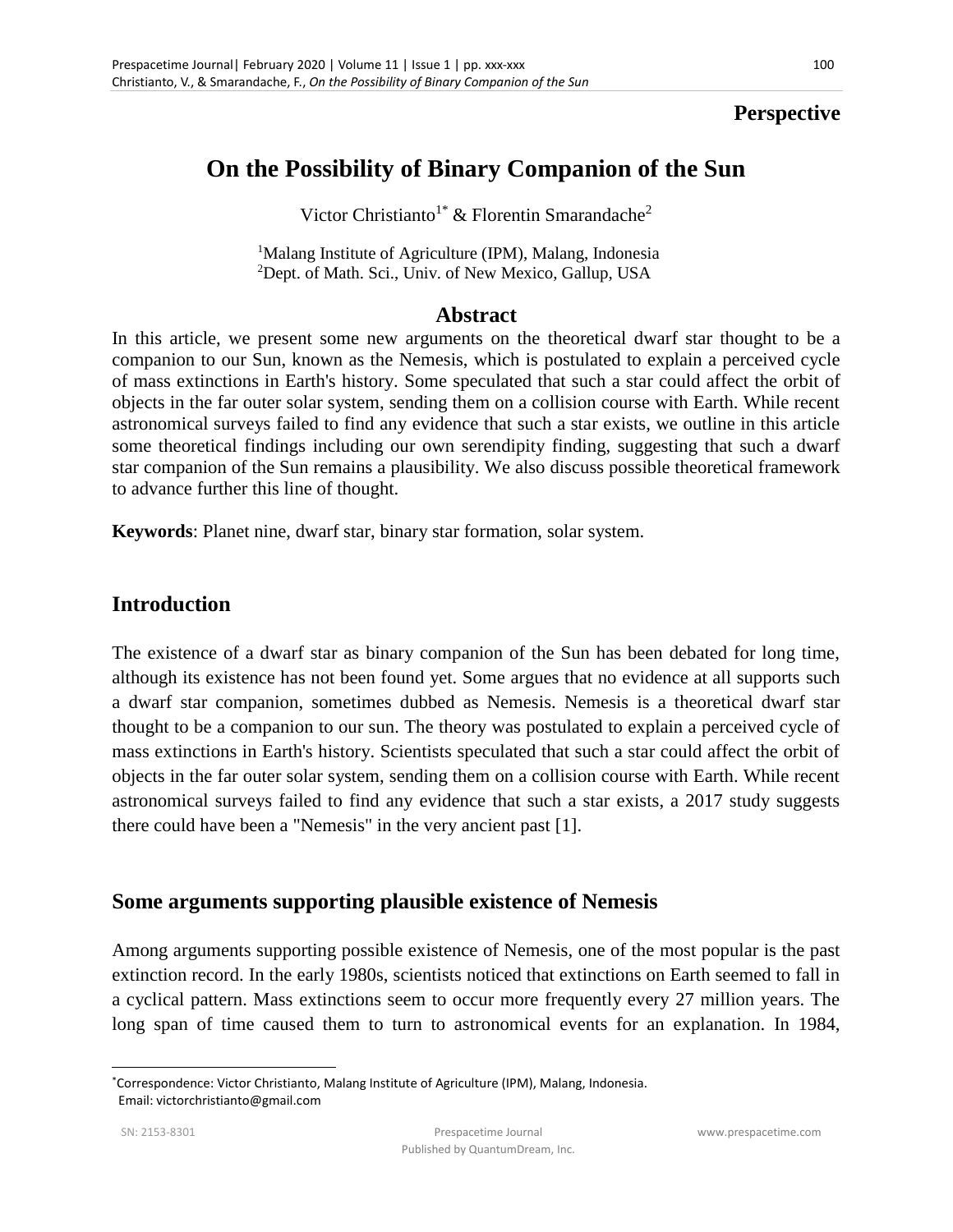### **Perspective**

# **On the Possibility of Binary Companion of the Sun**

Victor Christianto<sup>1\*</sup> & Florentin Smarandache<sup>2</sup>

<sup>1</sup>Malang Institute of Agriculture (IPM), Malang, Indonesia <sup>2</sup>Dept. of Math. Sci., Univ. of New Mexico, Gallup, USA

#### **Abstract**

In this article, we present some new arguments on the theoretical dwarf star thought to be a companion to our Sun, known as the Nemesis, which is postulated to explain a perceived cycle of mass extinctions in Earth's history. Some speculated that such a star could affect the orbit of objects in the far outer solar system, sending them on a collision course with Earth. While recent astronomical surveys failed to find any evidence that such a star exists, we outline in this article some theoretical findings including our own serendipity finding, suggesting that such a dwarf star companion of the Sun remains a plausibility. We also discuss possible theoretical framework to advance further this line of thought.

**Keywords**: Planet nine, dwarf star, binary star formation, solar system.

### **Introduction**

The existence of a dwarf star as binary companion of the Sun has been debated for long time, although its existence has not been found yet. Some argues that no evidence at all supports such a dwarf star companion, sometimes dubbed as Nemesis. Nemesis is a theoretical dwarf star thought to be a companion to our sun. The theory was postulated to explain a perceived cycle of mass extinctions in Earth's history. Scientists speculated that such a star could affect the orbit of objects in the far outer solar system, sending them on a collision course with Earth. While recent astronomical surveys failed to find any evidence that such a star exists, a 2017 study suggests there could have been a "Nemesis" in the very ancient past [1].

#### **Some arguments supporting plausible existence of Nemesis**

Among arguments supporting possible existence of Nemesis, one of the most popular is the past extinction record. In the early 1980s, scientists noticed that extinctions on Earth seemed to fall in a cyclical pattern. Mass extinctions seem to occur more frequently every 27 million years. The long span of time caused them to turn to astronomical events for an explanation. In 1984,

 $\overline{a}$ 

<sup>\*</sup>Correspondence: Victor Christianto, Malang Institute of Agriculture (IPM), Malang, Indonesia. Email: victorchristianto@gmail.com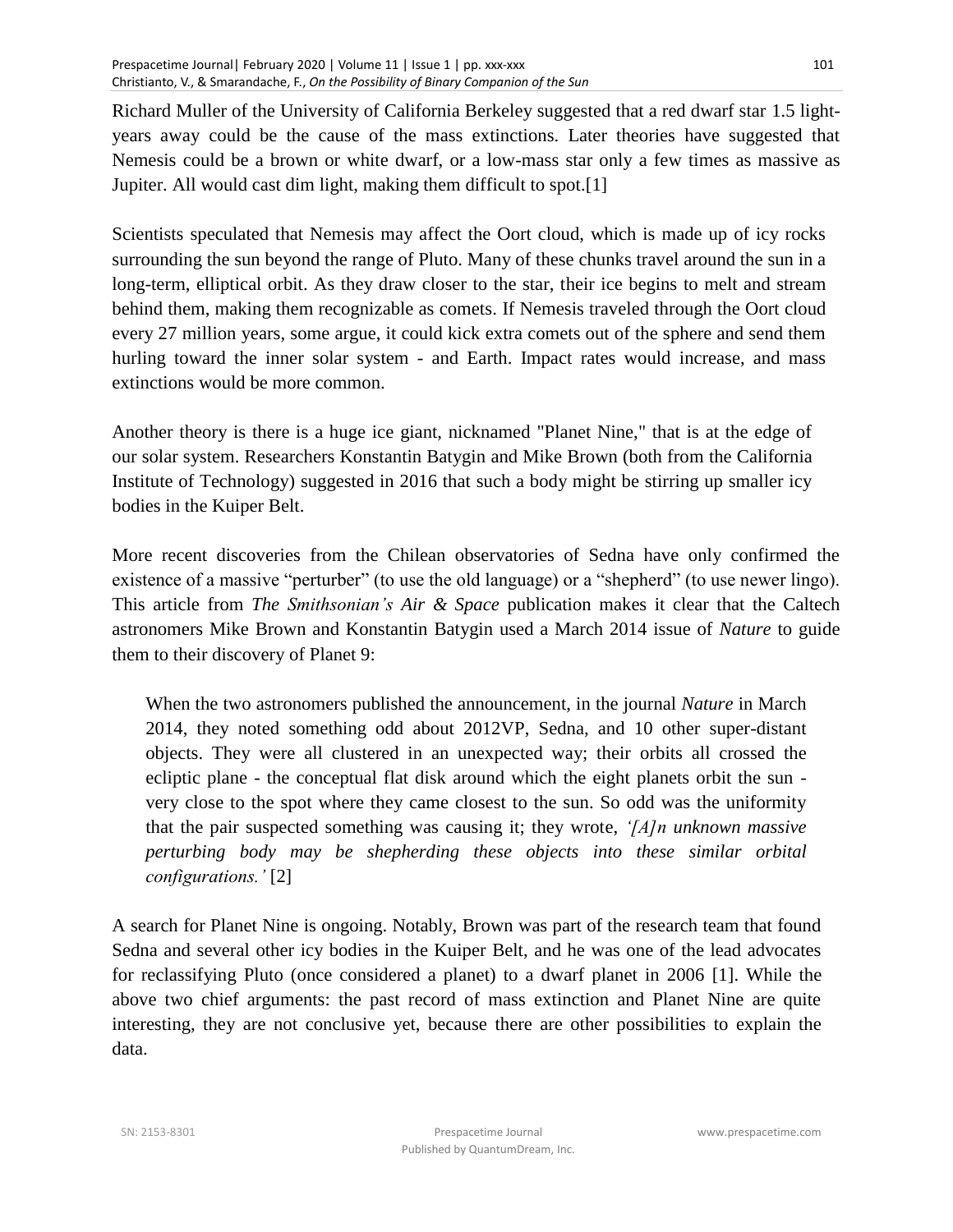Richard Muller of the University of California Berkeley suggested that a red dwarf star 1.5 lightyears away could be the cause of the mass extinctions. Later theories have suggested that Nemesis could be a brown or white dwarf, or a low-mass star only a few times as massive as Jupiter. All would cast dim light, making them difficult to spot.[1]

Scientists speculated that Nemesis may affect the Oort cloud, which is made up of icy rocks surrounding the sun beyond the range of Pluto. Many of these chunks travel around the sun in a long-term, elliptical orbit. As they draw closer to the star, their ice begins to melt and stream behind them, making them recognizable as comets. If Nemesis traveled through the Oort cloud every 27 million years, some argue, it could kick extra comets out of the sphere and send them hurling toward the inner solar system - and Earth. Impact rates would increase, and mass extinctions would be more common.

Another theory is there is a huge ice giant, nicknamed "Planet Nine," that is at the edge of our solar system. Researchers Konstantin Batygin and Mike Brown (both from the California Institute of Technology) suggested in 2016 that such a body might be stirring up smaller icy bodies in the Kuiper Belt.

More recent discoveries from the Chilean observatories of Sedna have only confirmed the existence of a massive "perturber" (to use the old language) or a "shepherd" (to use newer lingo). This article from *The Smithsonian's Air & Space* publication makes it clear that the Caltech astronomers Mike Brown and Konstantin Batygin used a March 2014 issue of *Nature* to guide them to their discovery of Planet 9:

When the two astronomers published the announcement, in the journal *Nature* in March 2014, they noted something odd about 2012VP, Sedna, and 10 other super-distant objects. They were all clustered in an unexpected way; their orbits all crossed the ecliptic plane - the conceptual flat disk around which the eight planets orbit the sun very close to the spot where they came closest to the sun. So odd was the uniformity that the pair suspected something was causing it; they wrote, *'[A]n unknown massive perturbing body may be shepherding these objects into these similar orbital configurations.'* [2]

A search for Planet Nine is ongoing. Notably, Brown was part of the research team that found Sedna and several other icy bodies in the Kuiper Belt, and he was one of the lead advocates for reclassifying Pluto (once considered a planet) to a dwarf planet in 2006 [1]. While the above two chief arguments: the past record of mass extinction and Planet Nine are quite interesting, they are not conclusive yet, because there are other possibilities to explain the data.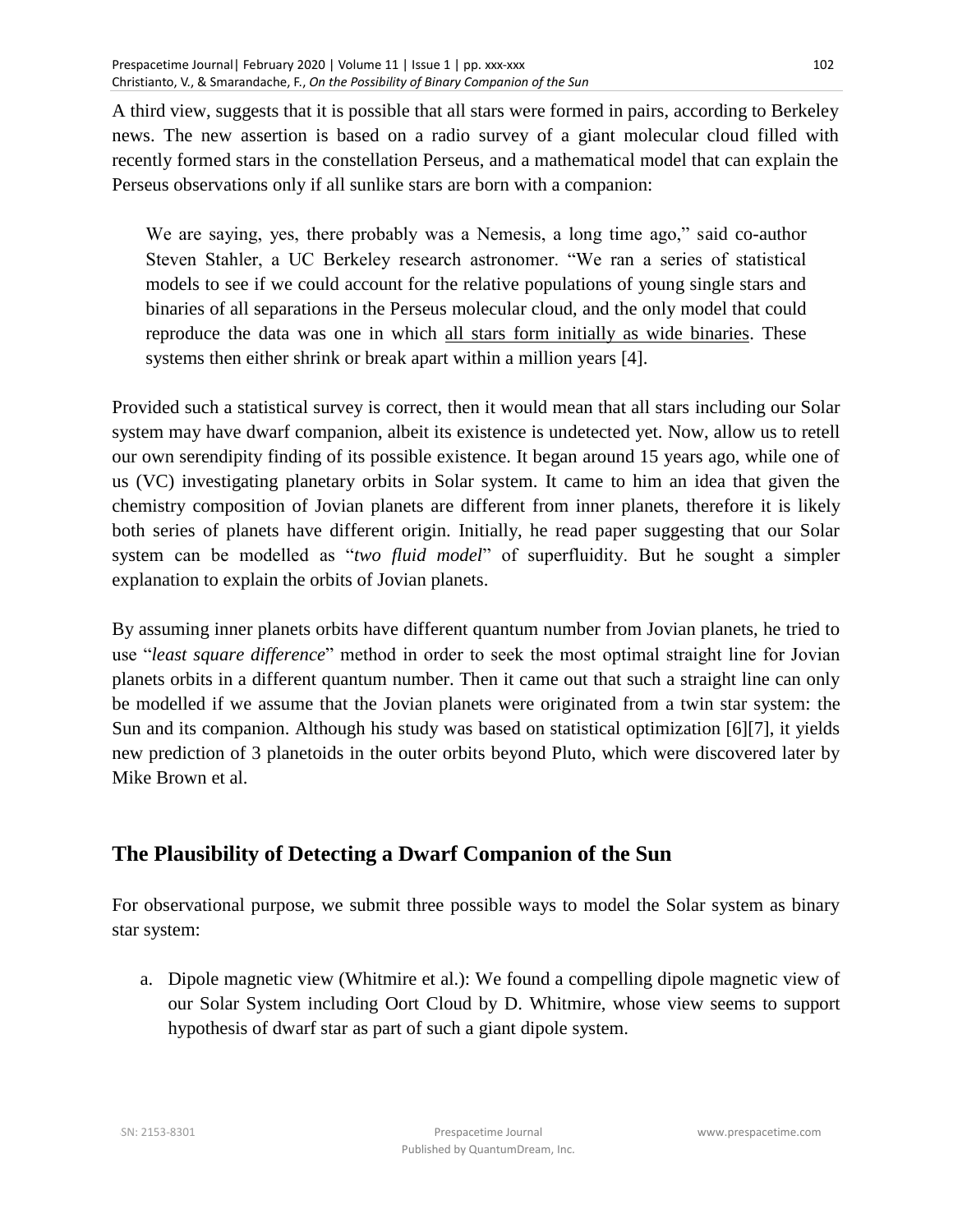102

A third view, suggests that it is possible that all stars were formed in pairs, according to Berkeley news. The new assertion is based on a radio survey of a giant molecular cloud filled with recently formed stars in the constellation Perseus, and a mathematical model that can explain the Perseus observations only if all sunlike stars are born with a companion:

We are saying, yes, there probably was a Nemesis, a long time ago," said co-author Steven Stahler, a UC Berkeley research astronomer. "We ran a series of statistical models to see if we could account for the relative populations of young single stars and binaries of all separations in the Perseus molecular cloud, and the only model that could reproduce the data was one in which all stars form initially as wide binaries. These systems then either shrink or break apart within a million years [4].

Provided such a statistical survey is correct, then it would mean that all stars including our Solar system may have dwarf companion, albeit its existence is undetected yet. Now, allow us to retell our own serendipity finding of its possible existence. It began around 15 years ago, while one of us (VC) investigating planetary orbits in Solar system. It came to him an idea that given the chemistry composition of Jovian planets are different from inner planets, therefore it is likely both series of planets have different origin. Initially, he read paper suggesting that our Solar system can be modelled as "*two fluid model*" of superfluidity. But he sought a simpler explanation to explain the orbits of Jovian planets.

By assuming inner planets orbits have different quantum number from Jovian planets, he tried to use "*least square difference*" method in order to seek the most optimal straight line for Jovian planets orbits in a different quantum number. Then it came out that such a straight line can only be modelled if we assume that the Jovian planets were originated from a twin star system: the Sun and its companion. Although his study was based on statistical optimization [6][7], it yields new prediction of 3 planetoids in the outer orbits beyond Pluto, which were discovered later by Mike Brown et al.

## **The Plausibility of Detecting a Dwarf Companion of the Sun**

For observational purpose, we submit three possible ways to model the Solar system as binary star system:

a. Dipole magnetic view (Whitmire et al.): We found a compelling dipole magnetic view of our Solar System including Oort Cloud by D. Whitmire, whose view seems to support hypothesis of dwarf star as part of such a giant dipole system.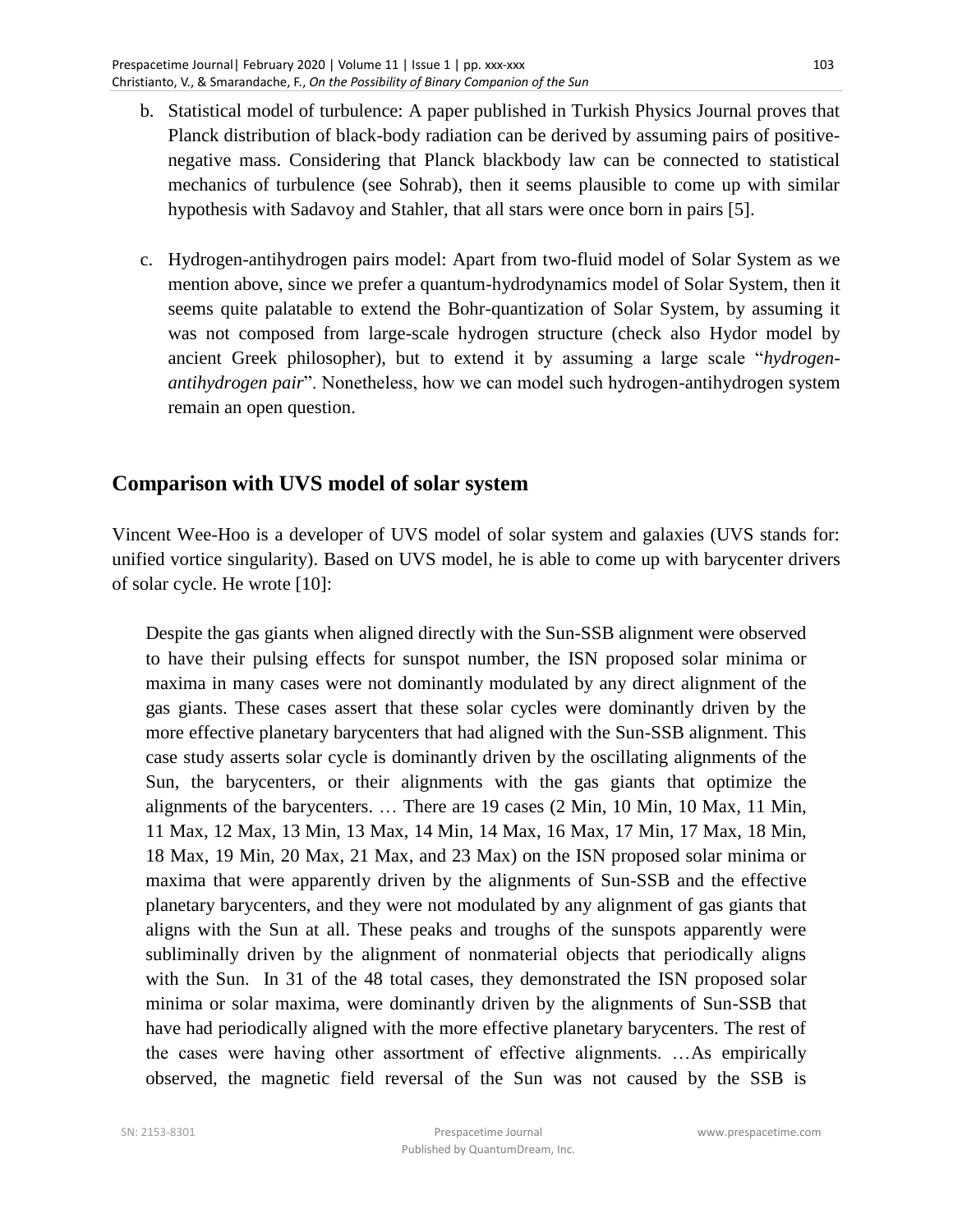- b. Statistical model of turbulence: A paper published in Turkish Physics Journal proves that Planck distribution of black-body radiation can be derived by assuming pairs of positivenegative mass. Considering that Planck blackbody law can be connected to statistical mechanics of turbulence (see Sohrab), then it seems plausible to come up with similar hypothesis with Sadavoy and Stahler, that all stars were once born in pairs [5].
- c. Hydrogen-antihydrogen pairs model: Apart from two-fluid model of Solar System as we mention above, since we prefer a quantum-hydrodynamics model of Solar System, then it seems quite palatable to extend the Bohr-quantization of Solar System, by assuming it was not composed from large-scale hydrogen structure (check also Hydor model by ancient Greek philosopher), but to extend it by assuming a large scale "*hydrogenantihydrogen pair*". Nonetheless, how we can model such hydrogen-antihydrogen system remain an open question.

### **Comparison with UVS model of solar system**

Vincent Wee-Hoo is a developer of UVS model of solar system and galaxies (UVS stands for: unified vortice singularity). Based on UVS model, he is able to come up with barycenter drivers of solar cycle. He wrote [10]:

Despite the gas giants when aligned directly with the Sun-SSB alignment were observed to have their pulsing effects for sunspot number, the ISN proposed solar minima or maxima in many cases were not dominantly modulated by any direct alignment of the gas giants. These cases assert that these solar cycles were dominantly driven by the more effective planetary barycenters that had aligned with the Sun-SSB alignment. This case study asserts solar cycle is dominantly driven by the oscillating alignments of the Sun, the barycenters, or their alignments with the gas giants that optimize the alignments of the barycenters. … There are 19 cases (2 Min, 10 Min, 10 Max, 11 Min, 11 Max, 12 Max, 13 Min, 13 Max, 14 Min, 14 Max, 16 Max, 17 Min, 17 Max, 18 Min, 18 Max, 19 Min, 20 Max, 21 Max, and 23 Max) on the ISN proposed solar minima or maxima that were apparently driven by the alignments of Sun-SSB and the effective planetary barycenters, and they were not modulated by any alignment of gas giants that aligns with the Sun at all. These peaks and troughs of the sunspots apparently were subliminally driven by the alignment of nonmaterial objects that periodically aligns with the Sun. In 31 of the 48 total cases, they demonstrated the ISN proposed solar minima or solar maxima, were dominantly driven by the alignments of Sun-SSB that have had periodically aligned with the more effective planetary barycenters. The rest of the cases were having other assortment of effective alignments. …As empirically observed, the magnetic field reversal of the Sun was not caused by the SSB is